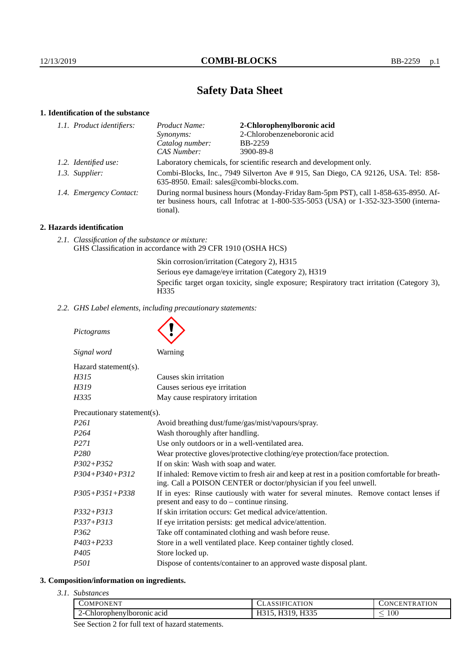# **Safety Data Sheet**

## **1. Identification of the substance**

| 1.1. Product identifiers: | Product Name:                                                                                                                                                                               | 2-Chlorophenylboronic acid                                          |
|---------------------------|---------------------------------------------------------------------------------------------------------------------------------------------------------------------------------------------|---------------------------------------------------------------------|
|                           | Synonyms:                                                                                                                                                                                   | 2-Chlorobenzeneboronic acid                                         |
|                           | Catalog number:                                                                                                                                                                             | <b>BB-2259</b>                                                      |
|                           | CAS Number:                                                                                                                                                                                 | 3900-89-8                                                           |
| 1.2. Identified use:      |                                                                                                                                                                                             | Laboratory chemicals, for scientific research and development only. |
| 1.3. Supplier:            | Combi-Blocks, Inc., 7949 Silverton Ave # 915, San Diego, CA 92126, USA. Tel: 858-<br>635-8950. Email: sales@combi-blocks.com.                                                               |                                                                     |
| 1.4. Emergency Contact:   | During normal business hours (Monday-Friday 8am-5pm PST), call 1-858-635-8950. Af-<br>ter business hours, call Infotrac at $1-800-535-5053$ (USA) or $1-352-323-3500$ (interna-<br>tional). |                                                                     |

## **2. Hazards identification**

*2.1. Classification of the substance or mixture:* GHS Classification in accordance with 29 CFR 1910 (OSHA HCS)

> Skin corrosion/irritation (Category 2), H315 Serious eye damage/eye irritation (Category 2), H319 Specific target organ toxicity, single exposure; Respiratory tract irritation (Category 3), H335

*2.2. GHS Label elements, including precautionary statements:*

*Pictograms*

| Signal word                 | Warning                                                                                                                                                            |
|-----------------------------|--------------------------------------------------------------------------------------------------------------------------------------------------------------------|
| Hazard statement(s).        |                                                                                                                                                                    |
| H315                        | Causes skin irritation                                                                                                                                             |
| H319                        | Causes serious eye irritation                                                                                                                                      |
| H335                        | May cause respiratory irritation                                                                                                                                   |
| Precautionary statement(s). |                                                                                                                                                                    |
| P <sub>261</sub>            | Avoid breathing dust/fume/gas/mist/vapours/spray.                                                                                                                  |
| P <sub>264</sub>            | Wash thoroughly after handling.                                                                                                                                    |
| P <sub>271</sub>            | Use only outdoors or in a well-ventilated area.                                                                                                                    |
| P <sub>280</sub>            | Wear protective gloves/protective clothing/eye protection/face protection.                                                                                         |
| $P302 + P352$               | If on skin: Wash with soap and water.                                                                                                                              |
| $P304 + P340 + P312$        | If inhaled: Remove victim to fresh air and keep at rest in a position comfortable for breath-<br>ing. Call a POISON CENTER or doctor/physician if you feel unwell. |
| $P305 + P351 + P338$        | If in eyes: Rinse cautiously with water for several minutes. Remove contact lenses if                                                                              |
|                             |                                                                                                                                                                    |

| P305+P351+P338 | If in eyes: Rinse cautiously with water for several minutes. Remove contact lenses if |  |
|----------------|---------------------------------------------------------------------------------------|--|
|                | present and easy to $do$ – continue rinsing.                                          |  |
| P332+P313      | If skin irritation occurs: Get medical advice/attention.                              |  |

| $P337 + P313$ |  |  |  | If eye irritation persists: get medical advice/attention. |
|---------------|--|--|--|-----------------------------------------------------------|
|---------------|--|--|--|-----------------------------------------------------------|

- *P362* Take off contaminated clothing and wash before reuse.
- *P403+P233* Store in a well ventilated place. Keep container tightly closed.
- *P405* Store locked up.
- *P501* Dispose of contents/container to an approved waste disposal plant.

## **3. Composition/information on ingredients.**

*3.1. Substances*

| COMPONENT                                   | <b>ATION</b><br>:AT<br>. I FI<br>$\overline{ }$ | ATION<br><b>INIC</b><br>N<br>ĸ<br>н. |
|---------------------------------------------|-------------------------------------------------|--------------------------------------|
| $\sim$<br>Chlorophenylboromic acid<br>′ – ເ | T T Q Q F<br>                                   | $100\,$                              |

See Section 2 for full text of hazard statements.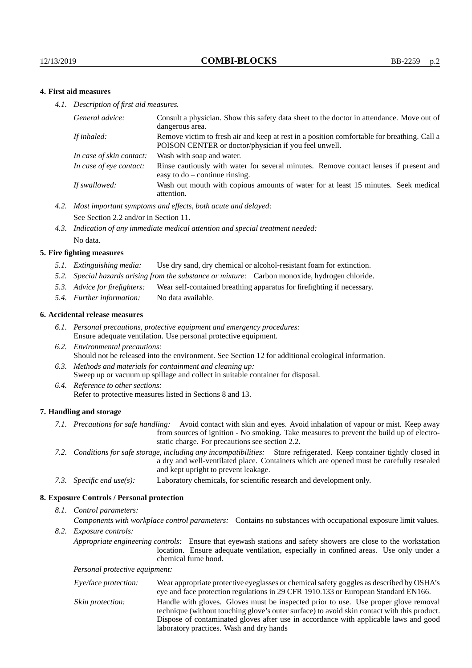### **4. First aid measures**

*4.1. Description of first aid measures.*

| Consult a physician. Show this safety data sheet to the doctor in attendance. Move out of<br>dangerous area.                                         |
|------------------------------------------------------------------------------------------------------------------------------------------------------|
| Remove victim to fresh air and keep at rest in a position comfortable for breathing. Call a<br>POISON CENTER or doctor/physician if you feel unwell. |
| Wash with soap and water.                                                                                                                            |
| Rinse cautiously with water for several minutes. Remove contact lenses if present and<br>easy to $do$ – continue rinsing.                            |
| Wash out mouth with copious amounts of water for at least 15 minutes. Seek medical<br>attention.                                                     |
|                                                                                                                                                      |

- *4.2. Most important symptoms and effects, both acute and delayed:* See Section 2.2 and/or in Section 11.
- *4.3. Indication of any immediate medical attention and special treatment needed:* No data.

#### **5. Fire fighting measures**

- *5.1. Extinguishing media:* Use dry sand, dry chemical or alcohol-resistant foam for extinction.
- *5.2. Special hazards arising from the substance or mixture:* Carbon monoxide, hydrogen chloride.
- *5.3. Advice for firefighters:* Wear self-contained breathing apparatus for firefighting if necessary.
- *5.4. Further information:* No data available.

#### **6. Accidental release measures**

- *6.1. Personal precautions, protective equipment and emergency procedures:* Ensure adequate ventilation. Use personal protective equipment.
- *6.2. Environmental precautions:* Should not be released into the environment. See Section 12 for additional ecological information.
- *6.3. Methods and materials for containment and cleaning up:* Sweep up or vacuum up spillage and collect in suitable container for disposal.
- *6.4. Reference to other sections:* Refer to protective measures listed in Sections 8 and 13.

#### **7. Handling and storage**

- *7.1. Precautions for safe handling:* Avoid contact with skin and eyes. Avoid inhalation of vapour or mist. Keep away from sources of ignition - No smoking. Take measures to prevent the build up of electrostatic charge. For precautions see section 2.2.
- *7.2. Conditions for safe storage, including any incompatibilities:* Store refrigerated. Keep container tightly closed in a dry and well-ventilated place. Containers which are opened must be carefully resealed and kept upright to prevent leakage.
- *7.3. Specific end use(s):* Laboratory chemicals, for scientific research and development only.

#### **8. Exposure Controls / Personal protection**

*8.1. Control parameters:*

*Components with workplace control parameters:* Contains no substances with occupational exposure limit values.

*8.2. Exposure controls:*

*Appropriate engineering controls:* Ensure that eyewash stations and safety showers are close to the workstation location. Ensure adequate ventilation, especially in confined areas. Use only under a chemical fume hood.

*Personal protective equipment:*

| Eye/face protection: | Wear appropriate protective eyeglasses or chemical safety goggles as described by OSHA's<br>eye and face protection regulations in 29 CFR 1910.133 or European Standard EN166.                                                                                                                                         |
|----------------------|------------------------------------------------------------------------------------------------------------------------------------------------------------------------------------------------------------------------------------------------------------------------------------------------------------------------|
| Skin protection:     | Handle with gloves. Gloves must be inspected prior to use. Use proper glove removal<br>technique (without touching glove's outer surface) to avoid skin contact with this product.<br>Dispose of contaminated gloves after use in accordance with applicable laws and good<br>laboratory practices. Wash and dry hands |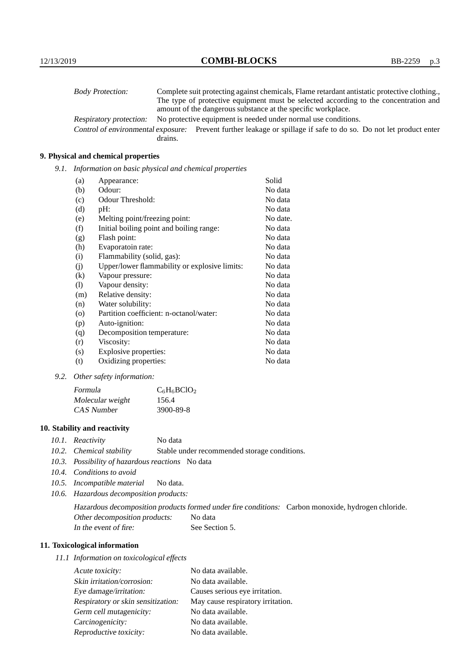| <b>Body Protection:</b> |         | Complete suit protecting against chemicals, Flame retardant antistatic protective clothing.                       |
|-------------------------|---------|-------------------------------------------------------------------------------------------------------------------|
|                         |         | The type of protective equipment must be selected according to the concentration and                              |
|                         |         | amount of the dangerous substance at the specific workplace.                                                      |
| Respiratory protection: |         | No protective equipment is needed under normal use conditions.                                                    |
|                         |         | Control of environmental exposure: Prevent further leakage or spillage if safe to do so. Do not let product enter |
|                         | drains. |                                                                                                                   |

## **9. Physical and chemical properties**

*9.1. Information on basic physical and chemical properties*

| (a)      | Appearance:                                   | Solid    |
|----------|-----------------------------------------------|----------|
| (b)      | Odour:                                        | No data  |
| (c)      | Odour Threshold:                              | No data  |
| (d)      | pH:                                           | No data  |
| (e)      | Melting point/freezing point:                 | No date. |
| (f)      | Initial boiling point and boiling range:      | No data  |
| (g)      | Flash point:                                  | No data  |
| (h)      | Evaporatoin rate:                             | No data  |
| (i)      | Flammability (solid, gas):                    | No data  |
| (j)      | Upper/lower flammability or explosive limits: | No data  |
| $\rm(k)$ | Vapour pressure:                              | No data  |
| (1)      | Vapour density:                               | No data  |
| (m)      | Relative density:                             | No data  |
| (n)      | Water solubility:                             | No data  |
| $\circ$  | Partition coefficient: n-octanol/water:       | No data  |
| (p)      | Auto-ignition:                                | No data  |
| (q)      | Decomposition temperature:                    | No data  |
| (r)      | Viscosity:                                    | No data  |
| (s)      | Explosive properties:                         | No data  |
| (t)      | Oxidizing properties:                         | No data  |

*9.2. Other safety information:*

| Formula          | $C_6H_6BClO_2$ |
|------------------|----------------|
| Molecular weight | 156.4          |
| CAS Number       | 3900-89-8      |

## **10. Stability and reactivity**

- *10.1. Reactivity* No data
- *10.2. Chemical stability* Stable under recommended storage conditions.
- *10.3. Possibility of hazardous reactions* No data
- *10.4. Conditions to avoid*
- *10.5. Incompatible material* No data.
- *10.6. Hazardous decomposition products:*

Hazardous decomposition products formed under fire conditions: Carbon monoxide, hydrogen chloride. Other decomposition products: No data In the event of fire: See Section 5.

## **11. Toxicological information**

*11.1 Information on toxicological effects*

| Acute toxicity:                    | No data available.                |
|------------------------------------|-----------------------------------|
| Skin irritation/corrosion:         | No data available.                |
| Eye damage/irritation:             | Causes serious eye irritation.    |
| Respiratory or skin sensitization: | May cause respiratory irritation. |
| Germ cell mutagenicity:            | No data available.                |
| Carcinogenicity:                   | No data available.                |
| Reproductive toxicity:             | No data available.                |